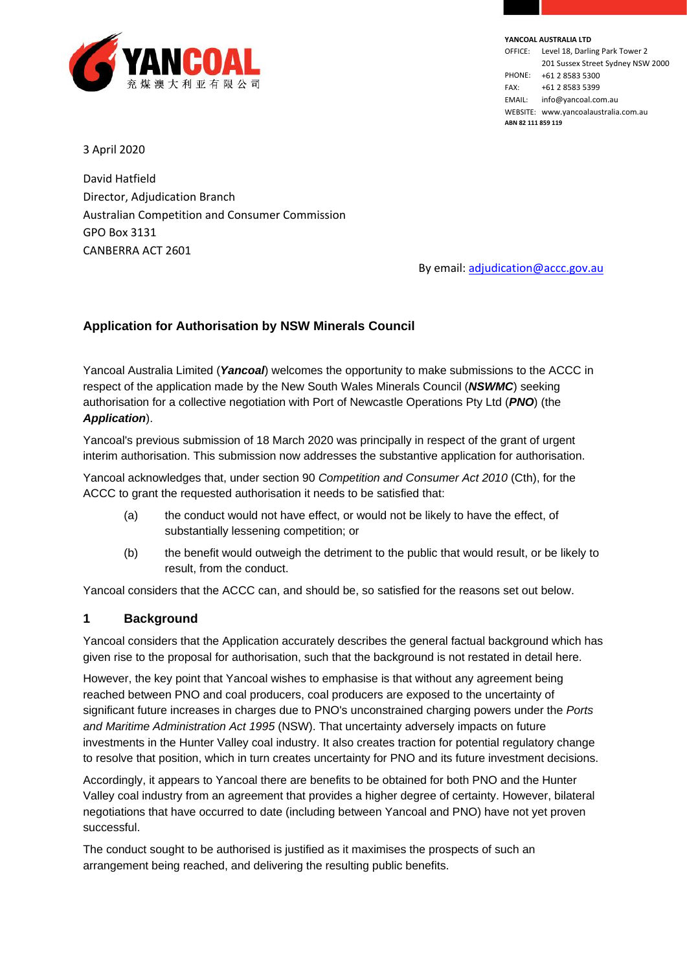

**YANCOAL AUSTRALIA LTD** OFFICE: Level 18, Darling Park Tower 2 201 Sussex Street Sydney NSW 2000 PHONE: +61 2 8583 5300 FAX: +61 2 8583 5399 EMAIL: info@yancoal.com.au WEBSITE: www.yancoalaustralia.com.au **ABN 82 111 859 119**

3 April 2020

David Hatfield Director, Adjudication Branch Australian Competition and Consumer Commission GPO Box 3131 CANBERRA ACT 2601

By email: [adjudication@accc.gov.au](mailto:adjudication@accc.gov.au)

# **Application for Authorisation by NSW Minerals Council**

Yancoal Australia Limited (*Yancoal*) welcomes the opportunity to make submissions to the ACCC in respect of the application made by the New South Wales Minerals Council (*NSWMC*) seeking authorisation for a collective negotiation with Port of Newcastle Operations Pty Ltd (*PNO*) (the *Application*).

Yancoal's previous submission of 18 March 2020 was principally in respect of the grant of urgent interim authorisation. This submission now addresses the substantive application for authorisation.

Yancoal acknowledges that, under section 90 *Competition and Consumer Act 2010* (Cth), for the ACCC to grant the requested authorisation it needs to be satisfied that:

- (a) the conduct would not have effect, or would not be likely to have the effect, of substantially lessening competition; or
- (b) the benefit would outweigh the detriment to the public that would result, or be likely to result, from the conduct.

Yancoal considers that the ACCC can, and should be, so satisfied for the reasons set out below.

#### **1 Background**

Yancoal considers that the Application accurately describes the general factual background which has given rise to the proposal for authorisation, such that the background is not restated in detail here.

However, the key point that Yancoal wishes to emphasise is that without any agreement being reached between PNO and coal producers, coal producers are exposed to the uncertainty of significant future increases in charges due to PNO's unconstrained charging powers under the *Ports and Maritime Administration Act 1995* (NSW). That uncertainty adversely impacts on future investments in the Hunter Valley coal industry. It also creates traction for potential regulatory change to resolve that position, which in turn creates uncertainty for PNO and its future investment decisions.

Accordingly, it appears to Yancoal there are benefits to be obtained for both PNO and the Hunter Valley coal industry from an agreement that provides a higher degree of certainty. However, bilateral negotiations that have occurred to date (including between Yancoal and PNO) have not yet proven successful.

The conduct sought to be authorised is justified as it maximises the prospects of such an arrangement being reached, and delivering the resulting public benefits.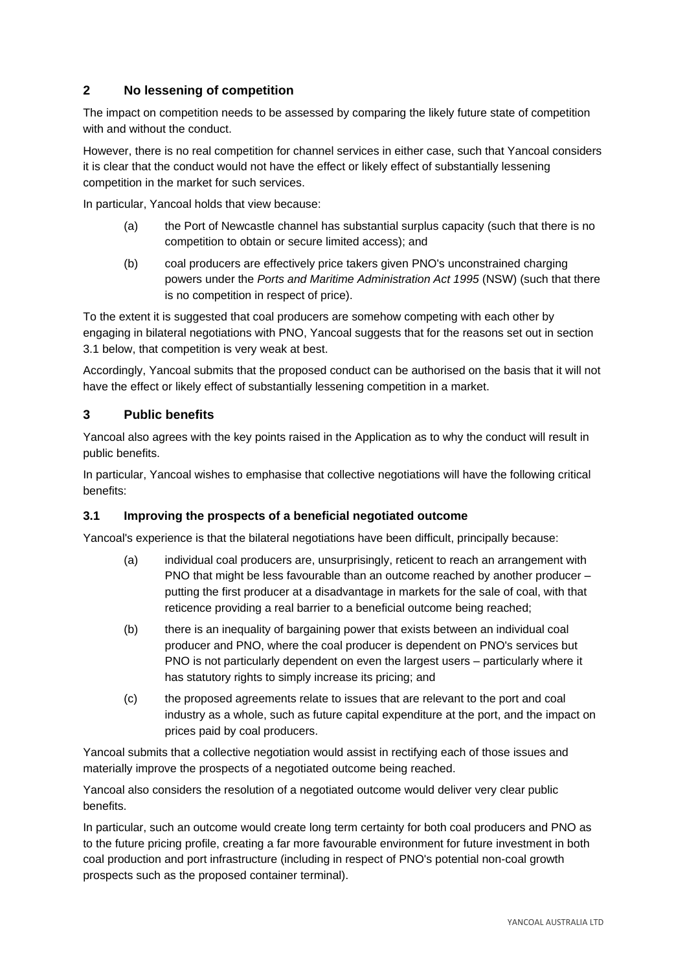# <span id="page-1-1"></span>**2 No lessening of competition**

The impact on competition needs to be assessed by comparing the likely future state of competition with and without the conduct.

However, there is no real competition for channel services in either case, such that Yancoal considers it is clear that the conduct would not have the effect or likely effect of substantially lessening competition in the market for such services.

In particular, Yancoal holds that view because:

- (a) the Port of Newcastle channel has substantial surplus capacity (such that there is no competition to obtain or secure limited access); and
- (b) coal producers are effectively price takers given PNO's unconstrained charging powers under the *Ports and Maritime Administration Act 1995* (NSW) (such that there is no competition in respect of price).

To the extent it is suggested that coal producers are somehow competing with each other by engaging in bilateral negotiations with PNO, Yancoal suggests that for the reasons set out in section [3.1](#page-1-0) below, that competition is very weak at best.

Accordingly, Yancoal submits that the proposed conduct can be authorised on the basis that it will not have the effect or likely effect of substantially lessening competition in a market.

## **3 Public benefits**

Yancoal also agrees with the key points raised in the Application as to why the conduct will result in public benefits.

In particular, Yancoal wishes to emphasise that collective negotiations will have the following critical benefits:

## <span id="page-1-0"></span>**3.1 Improving the prospects of a beneficial negotiated outcome**

Yancoal's experience is that the bilateral negotiations have been difficult, principally because:

- (a) individual coal producers are, unsurprisingly, reticent to reach an arrangement with PNO that might be less favourable than an outcome reached by another producer – putting the first producer at a disadvantage in markets for the sale of coal, with that reticence providing a real barrier to a beneficial outcome being reached;
- (b) there is an inequality of bargaining power that exists between an individual coal producer and PNO, where the coal producer is dependent on PNO's services but PNO is not particularly dependent on even the largest users – particularly where it has statutory rights to simply increase its pricing; and
- (c) the proposed agreements relate to issues that are relevant to the port and coal industry as a whole, such as future capital expenditure at the port, and the impact on prices paid by coal producers.

Yancoal submits that a collective negotiation would assist in rectifying each of those issues and materially improve the prospects of a negotiated outcome being reached.

Yancoal also considers the resolution of a negotiated outcome would deliver very clear public benefits.

In particular, such an outcome would create long term certainty for both coal producers and PNO as to the future pricing profile, creating a far more favourable environment for future investment in both coal production and port infrastructure (including in respect of PNO's potential non-coal growth prospects such as the proposed container terminal).